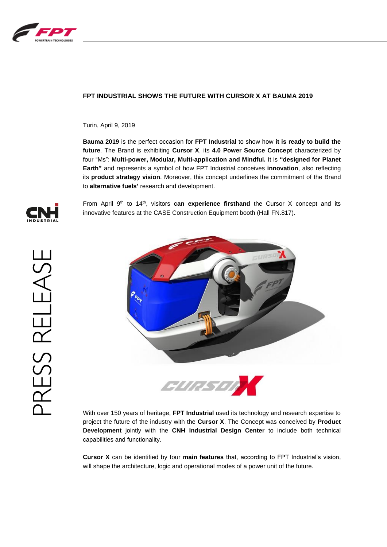

# **FPT INDUSTRIAL SHOWS THE FUTURE WITH CURSOR X AT BAUMA 2019**

Turin, April 9, 2019

**Bauma 2019** is the perfect occasion for **FPT Industrial** to show how **it is ready to build the future**. The Brand is exhibiting **Cursor X**, its **4.0 Power Source Concept** characterized by four "Ms": **Multi-power, Modular, Multi-application and Mindful.** It is **"designed for Planet Earth"** and represents a symbol of how FPT Industrial conceives **innovation**, also reflecting its **product strategy vision**. Moreover, this concept underlines the commitment of the Brand to **alternative fuels'** research and development.



From April  $9<sup>th</sup>$  to  $14<sup>th</sup>$ , visitors **can experience firsthand** the Cursor X concept and its innovative features at the CASE Construction Equipment booth (Hall FN.817).



With over 150 years of heritage, **FPT Industrial** used its technology and research expertise to project the future of the industry with the **Cursor X**. The Concept was conceived by **Product Development** jointly with the **CNH Industrial Design Center** to include both technical capabilities and functionality.

**Cursor X** can be identified by four **main features** that, according to FPT Industrial's vision, will shape the architecture, logic and operational modes of a power unit of the future.

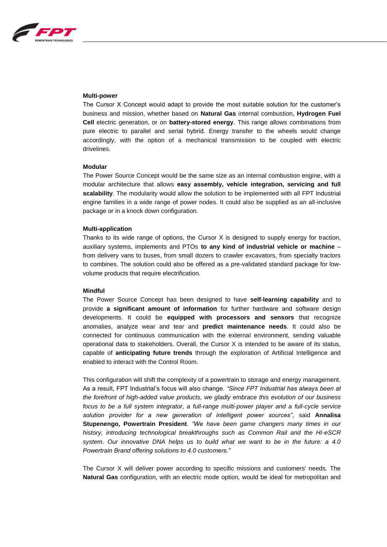

### **Multi-power**

The Cursor X Concept would adapt to provide the most suitable solution for the customer's business and mission, whether based on **Natural Gas** internal combustion, **Hydrogen Fuel Cell** electric generation, or on **battery-stored energy**. This range allows combinations from pure electric to parallel and serial hybrid. Energy transfer to the wheels would change accordingly, with the option of a mechanical transmission to be coupled with electric drivelines.

## **Modular**

The Power Source Concept would be the same size as an internal combustion engine, with a modular architecture that allows **easy assembly, vehicle integration, servicing and full scalability**. The modularity would allow the solution to be implemented with all FPT Industrial engine families in a wide range of power nodes. It could also be supplied as an all-inclusive package or in a knock down configuration.

### **Multi-application**

Thanks to its wide range of options, the Cursor X is designed to supply energy for traction, auxiliary systems, implements and PTOs **to any kind of industrial vehicle or machine** – from delivery vans to buses, from small dozers to crawler excavators, from specialty tractors to combines. The solution could also be offered as a pre-validated standard package for lowvolume products that require electrification.

### **Mindful**

The Power Source Concept has been designed to have **self-learning capability** and to provide **a significant amount of information** for further hardware and software design developments. It could be **equipped with processors and sensors** that recognize anomalies, analyze wear and tear and **predict maintenance needs**. It could also be connected for continuous communication with the external environment, sending valuable operational data to stakeholders. Overall, the Cursor X is intended to be aware of its status, capable of **anticipating future trends** through the exploration of Artificial Intelligence and enabled to interact with the Control Room.

This configuration will shift the complexity of a powertrain to storage and energy management. As a result, FPT Industrial's focus will also change. *"Since FPT Industrial has always been at the forefront of high-added value products, we gladly embrace this evolution of our business focus to be a full system integrator, a full-range multi-power player and a full-cycle service solution provider for a new generation of intelligent power sources"*, said **Annalisa Stupenengo, Powertrain President**. *"We have been game changers many times in our history, introducing technological breakthroughs such as Common Rail and the HI-eSCR system. Our innovative DNA helps us to build what we want to be in the future: a 4.0 Powertrain Brand offering solutions to 4.0 customers."*

The Cursor X will deliver power according to specific missions and customers' needs. The **Natural Gas** configuration, with an electric mode option, would be ideal for metropolitan and